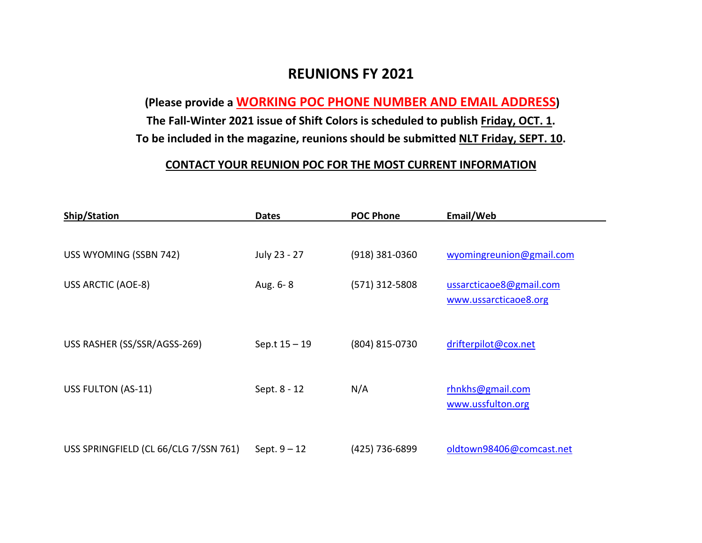## **REUNIONS FY 2021**

**(Please provide a WORKING POC PHONE NUMBER AND EMAIL ADDRESS)**

**The Fall-Winter 2021 issue of Shift Colors is scheduled to publish Friday, OCT. 1. To be included in the magazine, reunions should be submitted NLT Friday, SEPT. 10.**

## **CONTACT YOUR REUNION POC FOR THE MOST CURRENT INFORMATION**

| <b>Ship/Station</b>                   | <b>Dates</b>    | <b>POC Phone</b> | Email/Web                                        |
|---------------------------------------|-----------------|------------------|--------------------------------------------------|
|                                       |                 |                  |                                                  |
| USS WYOMING (SSBN 742)                | July 23 - 27    | (918) 381-0360   | wyomingreunion@gmail.com                         |
| USS ARCTIC (AOE-8)                    | Aug. 6-8        | (571) 312-5808   | ussarcticaoe8@gmail.com<br>www.ussarcticaoe8.org |
| USS RASHER (SS/SSR/AGSS-269)          | Sep.t $15 - 19$ | (804) 815-0730   | drifterpilot@cox.net                             |
| USS FULTON (AS-11)                    | Sept. 8 - 12    | N/A              | rhnkhs@gmail.com<br>www.ussfulton.org            |
| USS SPRINGFIELD (CL 66/CLG 7/SSN 761) | Sept. $9 - 12$  | (425) 736-6899   | oldtown98406@comcast.net                         |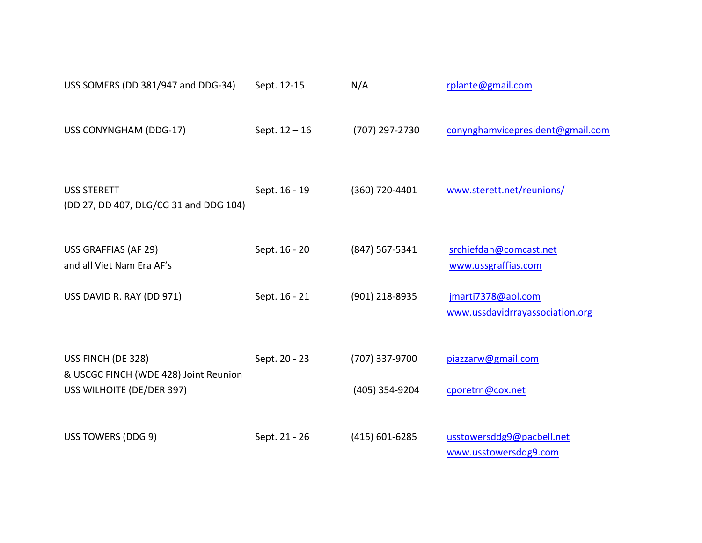| USS SOMERS (DD 381/947 and DDG-34)                                                       | Sept. 12-15     | N/A                              | rplante@gmail.com                                     |
|------------------------------------------------------------------------------------------|-----------------|----------------------------------|-------------------------------------------------------|
| USS CONYNGHAM (DDG-17)                                                                   | Sept. $12 - 16$ | (707) 297-2730                   | conynghamvicepresident@gmail.com                      |
| <b>USS STERETT</b><br>(DD 27, DD 407, DLG/CG 31 and DDG 104)                             | Sept. 16 - 19   | (360) 720-4401                   | www.sterett.net/reunions/                             |
| USS GRAFFIAS (AF 29)<br>and all Viet Nam Era AF's                                        | Sept. 16 - 20   | $(847)$ 567-5341                 | srchiefdan@comcast.net<br>www.ussgraffias.com         |
| USS DAVID R. RAY (DD 971)                                                                | Sept. 16 - 21   | (901) 218-8935                   | jmarti7378@aol.com<br>www.ussdavidrrayassociation.org |
| USS FINCH (DE 328)<br>& USCGC FINCH (WDE 428) Joint Reunion<br>USS WILHOITE (DE/DER 397) | Sept. 20 - 23   | (707) 337-9700<br>(405) 354-9204 | piazzarw@gmail.com<br>cporetrn@cox.net                |
| USS TOWERS (DDG 9)                                                                       | Sept. 21 - 26   | $(415)$ 601-6285                 | usstowersddg9@pacbell.net<br>www.usstowersddg9.com    |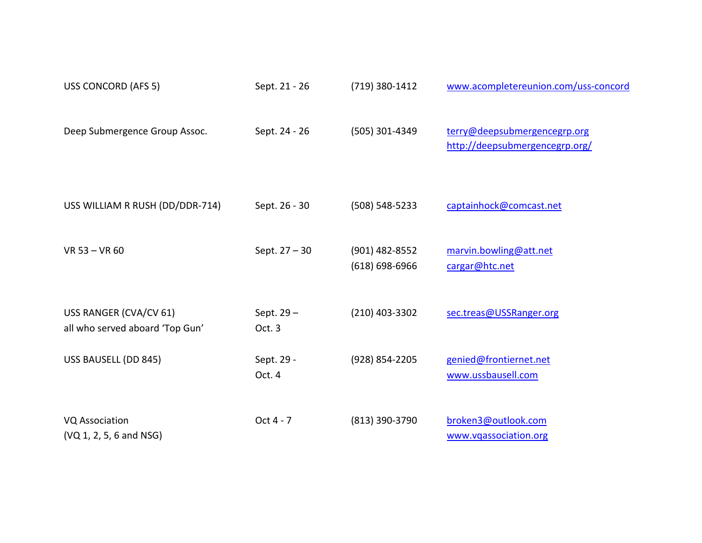| USS CONCORD (AFS 5)                                       | Sept. 21 - 26        | (719) 380-1412                         | www.acompletereunion.com/uss-concord                           |
|-----------------------------------------------------------|----------------------|----------------------------------------|----------------------------------------------------------------|
| Deep Submergence Group Assoc.                             | Sept. 24 - 26        | (505) 301-4349                         | terry@deepsubmergencegrp.org<br>http://deepsubmergencegrp.org/ |
| USS WILLIAM R RUSH (DD/DDR-714)                           | Sept. 26 - 30        | $(508) 548 - 5233$                     | captainhock@comcast.net                                        |
| VR 53 - VR 60                                             | Sept. 27 - 30        | $(901)$ 482-8552<br>$(618) 698 - 6966$ | marvin.bowling@att.net<br>cargar@htc.net                       |
| USS RANGER (CVA/CV 61)<br>all who served aboard 'Top Gun' | Sept. 29-<br>Oct. 3  | (210) 403-3302                         | sec.treas@USSRanger.org                                        |
| USS BAUSELL (DD 845)                                      | Sept. 29 -<br>Oct. 4 | (928) 854-2205                         | genied@frontiernet.net<br>www.ussbausell.com                   |
| <b>VQ Association</b><br>(VQ 1, 2, 5, 6 and NSG)          | Oct 4 - 7            | (813) 390-3790                         | broken3@outlook.com<br>www.vqassociation.org                   |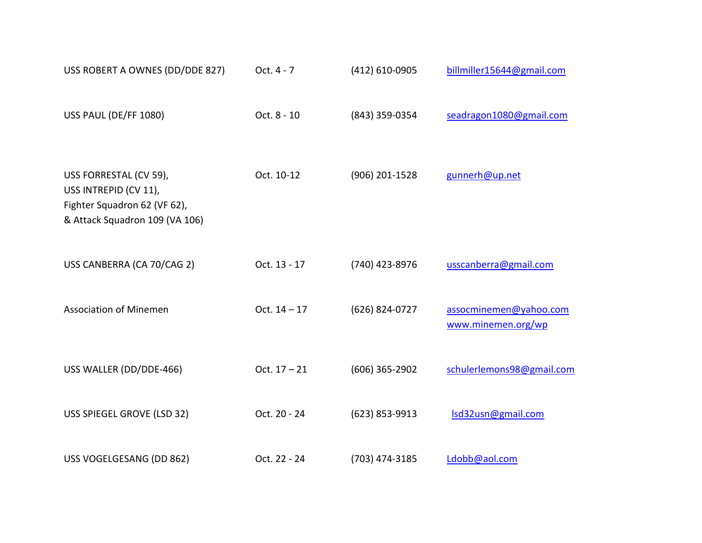| USS ROBERT A OWNES (DD/DDE 827)                                                                                   | Oct. 4 - 7     | (412) 610-0905   | billmiller15644@gmail.com                    |
|-------------------------------------------------------------------------------------------------------------------|----------------|------------------|----------------------------------------------|
| USS PAUL (DE/FF 1080)                                                                                             | Oct. 8 - 10    | (843) 359-0354   | seadragon1080@gmail.com                      |
| USS FORRESTAL (CV 59),<br>USS INTREPID (CV 11),<br>Fighter Squadron 62 (VF 62),<br>& Attack Squadron 109 (VA 106) | Oct. 10-12     | (906) 201-1528   | gunnerh@up.net                               |
| USS CANBERRA (CA 70/CAG 2)                                                                                        | Oct. 13 - 17   | (740) 423-8976   | usscanberra@gmail.com                        |
| <b>Association of Minemen</b>                                                                                     | Oct. $14 - 17$ | (626) 824-0727   | assocminemen@yahoo.com<br>www.minemen.org/wp |
| USS WALLER (DD/DDE-466)                                                                                           | Oct. $17 - 21$ | $(606)$ 365-2902 | schulerlemons98@gmail.com                    |
| USS SPIEGEL GROVE (LSD 32)                                                                                        | Oct. 20 - 24   | (623) 853-9913   | Isd32usn@gmail.com                           |
| USS VOGELGESANG (DD 862)                                                                                          | Oct. 22 - 24   | (703) 474-3185   | Ldobb@aol.com                                |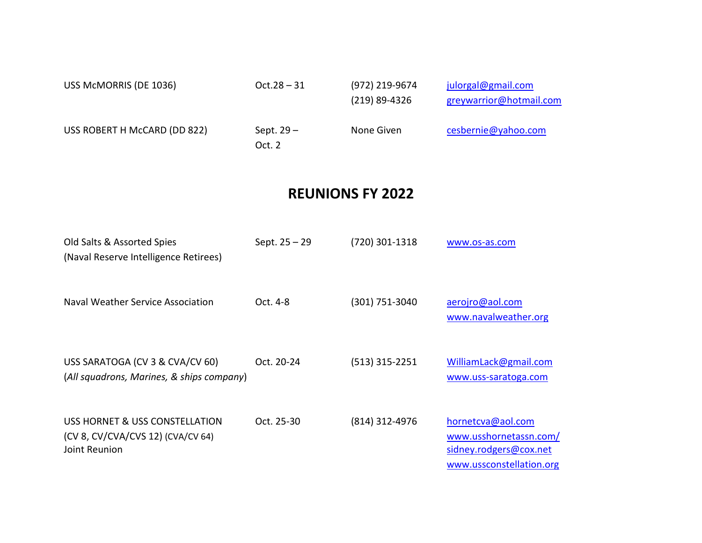| USS McMORRIS (DE 1036)       | $Oct.28 - 31$         | (972) 219-9674<br>$(219)$ 89-4326 | julorgal@gmail.com<br>greywarrior@hotmail.com |
|------------------------------|-----------------------|-----------------------------------|-----------------------------------------------|
| USS ROBERT H McCARD (DD 822) | Sept. $29-$<br>Oct. 2 | None Given                        | cesbernie@yahoo.com                           |

## **REUNIONS FY 2022**

| Old Salts & Assorted Spies<br>(Naval Reserve Intelligence Retirees)                  | Sept. 25 – 29 | $(720)$ 301-1318 | www.os-as.com                                                                                     |
|--------------------------------------------------------------------------------------|---------------|------------------|---------------------------------------------------------------------------------------------------|
| Naval Weather Service Association                                                    | Oct. 4-8      | (301) 751-3040   | aerojro@aol.com<br>www.navalweather.org                                                           |
| USS SARATOGA (CV 3 & CVA/CV 60)<br>(All squadrons, Marines, & ships company)         | Oct. 20-24    | $(513)$ 315-2251 | WilliamLack@gmail.com<br>www.uss-saratoga.com                                                     |
| USS HORNET & USS CONSTELLATION<br>(CV 8, CV/CVA/CVS 12) (CVA/CV 64)<br>Joint Reunion | Oct. 25-30    | (814) 312-4976   | hornetcva@aol.com<br>www.usshornetassn.com/<br>sidney.rodgers@cox.net<br>www.ussconstellation.org |